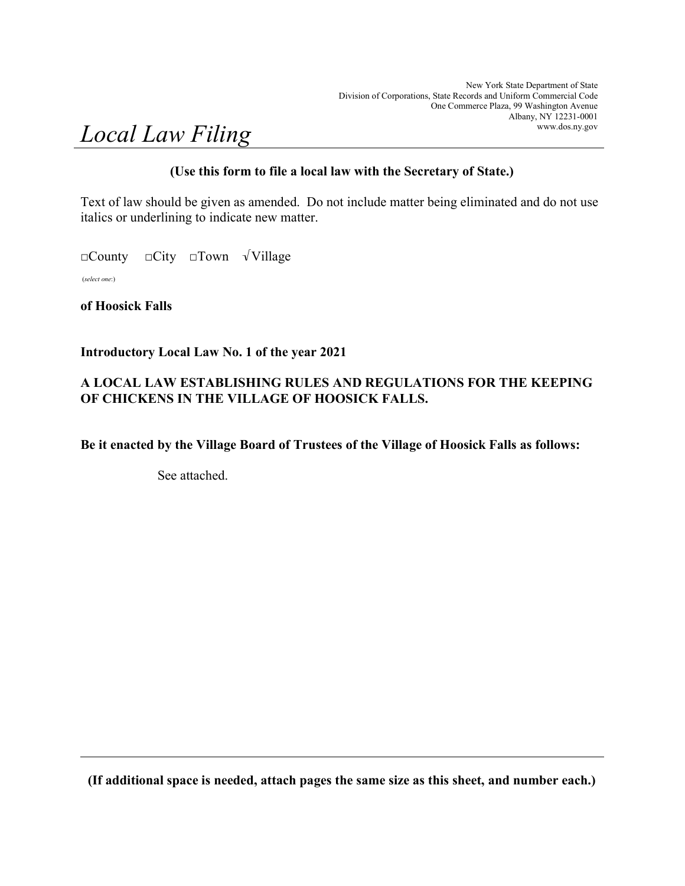# Local Law Filing

# (Use this form to file a local law with the Secretary of State.)

Text of law should be given as amended. Do not include matter being eliminated and do not use italics or underlining to indicate new matter.

□County □City □Town √Village

(select one:)

of Hoosick Falls

# Introductory Local Law No. 1 of the year 2021

# A LOCAL LAW ESTABLISHING RULES AND REGULATIONS FOR THE KEEPING OF CHICKENS IN THE VILLAGE OF HOOSICK FALLS.

Be it enacted by the Village Board of Trustees of the Village of Hoosick Falls as follows:

See attached.

(If additional space is needed, attach pages the same size as this sheet, and number each.)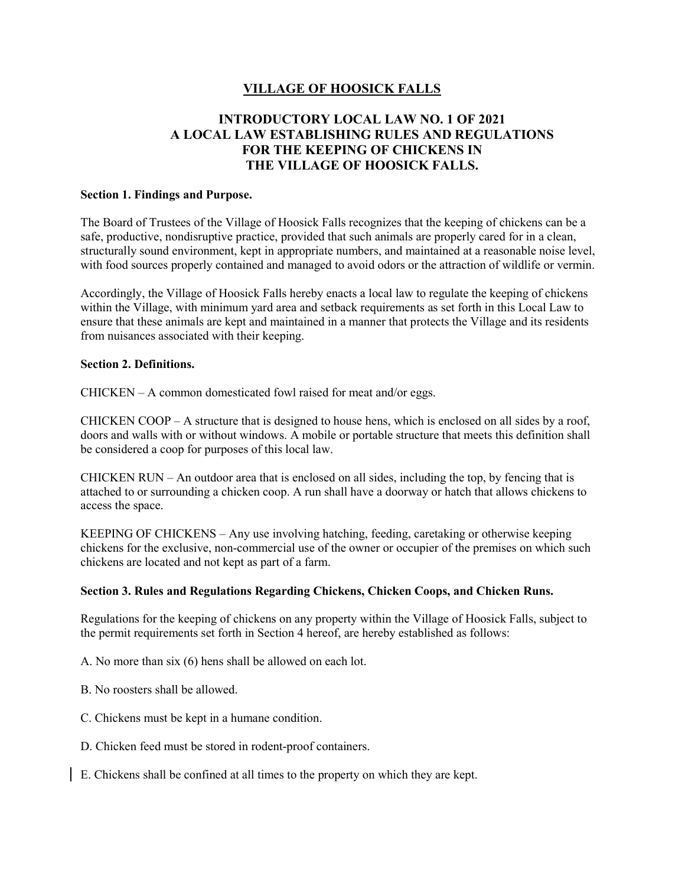## VILLAGE OF HOOSICK FALLS

# INTRODUCTORY LOCAL LAW NO. 1 OF 2021 A LOCAL LAW ESTABLISHING RULES AND REGULATIONS FOR THE KEEPING OF CHICKENS IN THE VILLAGE OF HOOSICK FALLS.

## Section 1. Findings and Purpose.

The Board of Trustees of the Village of Hoosick Falls recognizes that the keeping of chickens can be a safe, productive, nondisruptive practice, provided that such animals are properly cared for in a clean, structurally sound environment, kept in appropriate numbers, and maintained at a reasonable noise level, with food sources properly contained and managed to avoid odors or the attraction of wildlife or vermin.

Accordingly, the Village of Hoosick Falls hereby enacts a local law to regulate the keeping of chickens within the Village, with minimum yard area and setback requirements as set forth in this Local Law to ensure that these animals are kept and maintained in a manner that protects the Village and its residents from nuisances associated with their keeping.

## Section 2. Definitions.

CHICKEN – A common domesticated fowl raised for meat and/or eggs.

CHICKEN COOP – A structure that is designed to house hens, which is enclosed on all sides by a roof, doors and walls with or without windows. A mobile or portable structure that meets this definition shall be considered a coop for purposes of this local law.

CHICKEN RUN – An outdoor area that is enclosed on all sides, including the top, by fencing that is attached to or surrounding a chicken coop. A run shall have a doorway or hatch that allows chickens to access the space.

KEEPING OF CHICKENS – Any use involving hatching, feeding, caretaking or otherwise keeping chickens for the exclusive, non-commercial use of the owner or occupier of the premises on which such chickens are located and not kept as part of a farm.

## Section 3. Rules and Regulations Regarding Chickens, Chicken Coops, and Chicken Runs.

Regulations for the keeping of chickens on any property within the Village of Hoosick Falls, subject to the permit requirements set forth in Section 4 hereof, are hereby established as follows:

A. No more than six (6) hens shall be allowed on each lot.

- B. No roosters shall be allowed.
- C. Chickens must be kept in a humane condition.
- D. Chicken feed must be stored in rodent-proof containers.
- E. Chickens shall be confined at all times to the property on which they are kept.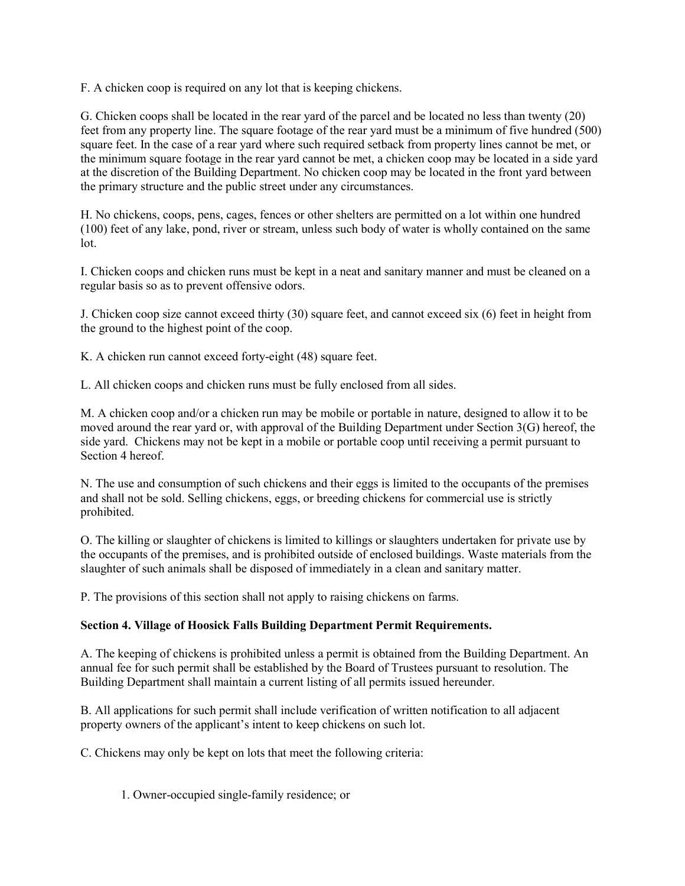F. A chicken coop is required on any lot that is keeping chickens.

G. Chicken coops shall be located in the rear yard of the parcel and be located no less than twenty (20) feet from any property line. The square footage of the rear yard must be a minimum of five hundred (500) square feet. In the case of a rear yard where such required setback from property lines cannot be met, or the minimum square footage in the rear yard cannot be met, a chicken coop may be located in a side yard at the discretion of the Building Department. No chicken coop may be located in the front yard between the primary structure and the public street under any circumstances.

H. No chickens, coops, pens, cages, fences or other shelters are permitted on a lot within one hundred (100) feet of any lake, pond, river or stream, unless such body of water is wholly contained on the same lot.

I. Chicken coops and chicken runs must be kept in a neat and sanitary manner and must be cleaned on a regular basis so as to prevent offensive odors.

J. Chicken coop size cannot exceed thirty (30) square feet, and cannot exceed six (6) feet in height from the ground to the highest point of the coop.

K. A chicken run cannot exceed forty-eight (48) square feet.

L. All chicken coops and chicken runs must be fully enclosed from all sides.

M. A chicken coop and/or a chicken run may be mobile or portable in nature, designed to allow it to be moved around the rear yard or, with approval of the Building Department under Section 3(G) hereof, the side yard. Chickens may not be kept in a mobile or portable coop until receiving a permit pursuant to Section 4 hereof.

N. The use and consumption of such chickens and their eggs is limited to the occupants of the premises and shall not be sold. Selling chickens, eggs, or breeding chickens for commercial use is strictly prohibited.

O. The killing or slaughter of chickens is limited to killings or slaughters undertaken for private use by the occupants of the premises, and is prohibited outside of enclosed buildings. Waste materials from the slaughter of such animals shall be disposed of immediately in a clean and sanitary matter.

P. The provisions of this section shall not apply to raising chickens on farms.

## Section 4. Village of Hoosick Falls Building Department Permit Requirements.

A. The keeping of chickens is prohibited unless a permit is obtained from the Building Department. An annual fee for such permit shall be established by the Board of Trustees pursuant to resolution. The Building Department shall maintain a current listing of all permits issued hereunder.

B. All applications for such permit shall include verification of written notification to all adjacent property owners of the applicant's intent to keep chickens on such lot.

C. Chickens may only be kept on lots that meet the following criteria:

1. Owner-occupied single-family residence; or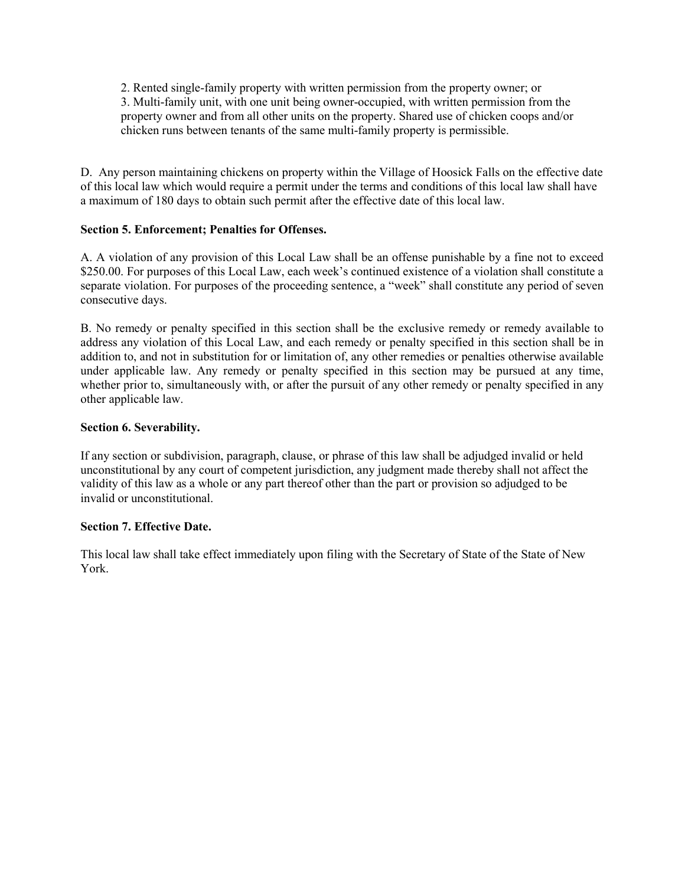2. Rented single-family property with written permission from the property owner; or 3. Multi-family unit, with one unit being owner-occupied, with written permission from the property owner and from all other units on the property. Shared use of chicken coops and/or chicken runs between tenants of the same multi-family property is permissible.

D. Any person maintaining chickens on property within the Village of Hoosick Falls on the effective date of this local law which would require a permit under the terms and conditions of this local law shall have a maximum of 180 days to obtain such permit after the effective date of this local law.

## Section 5. Enforcement; Penalties for Offenses.

A. A violation of any provision of this Local Law shall be an offense punishable by a fine not to exceed \$250.00. For purposes of this Local Law, each week's continued existence of a violation shall constitute a separate violation. For purposes of the proceeding sentence, a "week" shall constitute any period of seven consecutive days.

B. No remedy or penalty specified in this section shall be the exclusive remedy or remedy available to address any violation of this Local Law, and each remedy or penalty specified in this section shall be in addition to, and not in substitution for or limitation of, any other remedies or penalties otherwise available under applicable law. Any remedy or penalty specified in this section may be pursued at any time, whether prior to, simultaneously with, or after the pursuit of any other remedy or penalty specified in any other applicable law.

## Section 6. Severability.

If any section or subdivision, paragraph, clause, or phrase of this law shall be adjudged invalid or held unconstitutional by any court of competent jurisdiction, any judgment made thereby shall not affect the validity of this law as a whole or any part thereof other than the part or provision so adjudged to be invalid or unconstitutional.

## Section 7. Effective Date.

This local law shall take effect immediately upon filing with the Secretary of State of the State of New York.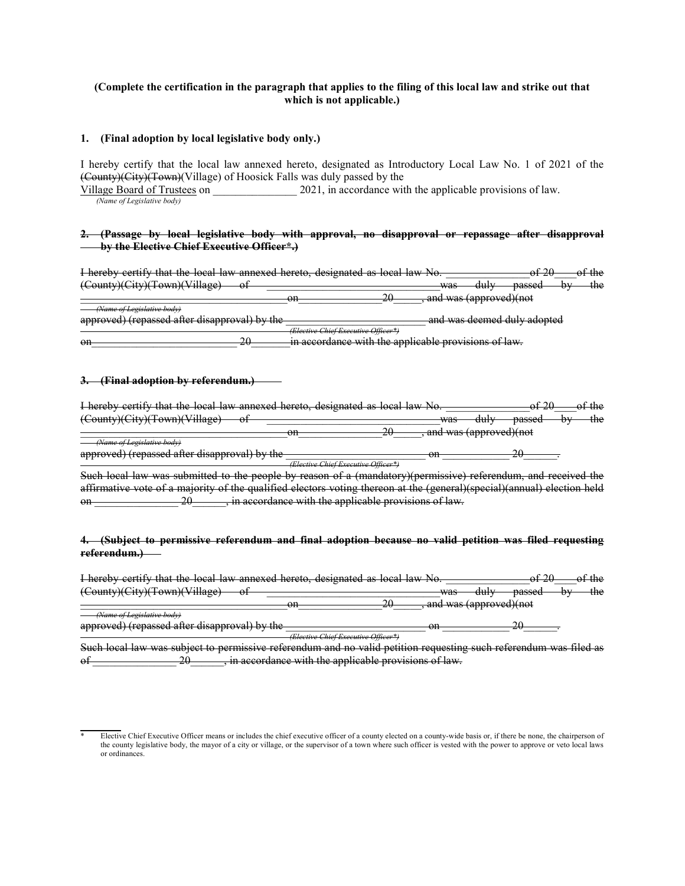### (Complete the certification in the paragraph that applies to the filing of this local law and strike out that which is not applicable.)

#### 1. (Final adoption by local legislative body only.)

I hereby certify that the local law annexed hereto, designated as Introductory Local Law No. 1 of 2021 of the (County)(City)(Town)(Village) of Hoosick Falls was duly passed by the

Village Board of Trustees on 2021, in accordance with the applicable provisions of law. (Name of Legislative body)

#### 2. (Passage by local legislative body with approval, no disapproval or repassage after disapproval by the Elective Chief Executive Officer\*.)

I hereby certify that the local law annexed hereto, designated as local law No. \_\_\_\_\_\_\_\_\_\_\_\_\_\_\_of 20\_\_\_\_of the (County)(City)(Town)(Village) of \_\_\_\_\_\_\_\_\_\_\_\_\_\_\_\_\_\_\_\_\_\_\_\_\_\_\_\_\_\_\_was duly passed by the on  $20$ , and was (approved)(not (*ne of Legislative body*)

approved) (repassed after disapproval) by the \_\_\_\_\_\_\_\_\_\_\_\_\_\_\_\_\_\_\_\_\_\_\_\_\_ and was deemed duly adopted (Elective Chief Executive Officer\*)

on and the applicable provisions of law.

#### 3. (Final adoption by referendum.)

| I hereby certify that the local law annexed hereto, designated as local law No |                                     |          |                        |                        | $\sigma$ $\sigma$    |                | $\sigma$ r urv |
|--------------------------------------------------------------------------------|-------------------------------------|----------|------------------------|------------------------|----------------------|----------------|----------------|
| (County)(City)(Town)(Village)<br>vı                                            |                                     |          | 1179C<br>was           | du lv<br>uur           | ngcced<br>vasseu     | N <sub>T</sub> | th≙<br>աշ      |
|                                                                                | $\alpha$ n<br>┅                     | ററ<br>20 |                        | and was (approved)(not |                      |                |                |
| <i>- Name of Legislative body</i>                                              |                                     |          |                        |                        |                      |                |                |
| approved) (repassed after disapproval) by the                                  |                                     |          | $\alpha$ n<br>$\sigma$ |                        | າເ<br>$\overline{a}$ |                |                |
|                                                                                | (Elective Chief Executive Officer*) |          |                        |                        |                      |                |                |

Such local law was submitted to the people by reason of a (mandatory)(permissive) referendum, and received the affirmative vote of a majority of the qualified electors voting thereon at the (general)(special)(annual) election held on \_\_\_\_\_\_\_\_\_\_\_\_\_\_\_\_\_ 20\_\_\_\_\_\_, in accordance with the applicable provisions of law.

#### 4. (Subject to permissive referendum and final adoption because no valid petition was filed requesting referendum.)

I hereby certify that the local law annexed hereto, designated as local law No. \_\_\_\_\_\_\_\_\_\_\_\_\_\_\_\_\_\_of 20\_\_\_\_of the  $\frac{(\text{Country})(\text{City})(\text{Tour})}{\text{Newn})(\text{Village})}$  of  $\frac{\text{Newn} \times \text{Newn}}{20}$  and was (approved)(not and was (approved)(not (Name of Legislative body)

approved) (repassed after disapproval) by the \_\_\_\_\_\_\_\_\_\_\_\_\_\_\_\_\_\_\_\_\_\_\_\_\_ on \_\_\_\_\_\_\_\_\_\_\_\_ 20\_\_\_\_\_\_. (Elective Chief Executive Officer\*)

Such local law was subject to permissive referendum and no valid petition requesting such referendum was filed as of \_\_\_\_\_\_\_\_\_\_\_\_\_\_\_\_\_\_\_20\_\_\_\_\_\_, in accordance with the applicable provisions of law.

 Elective Chief Executive Officer means or includes the chief executive officer of a county elected on a county-wide basis or, if there be none, the chairperson of the county legislative body, the mayor of a city or village, or the supervisor of a town where such officer is vested with the power to approve or veto local laws or ordinances.